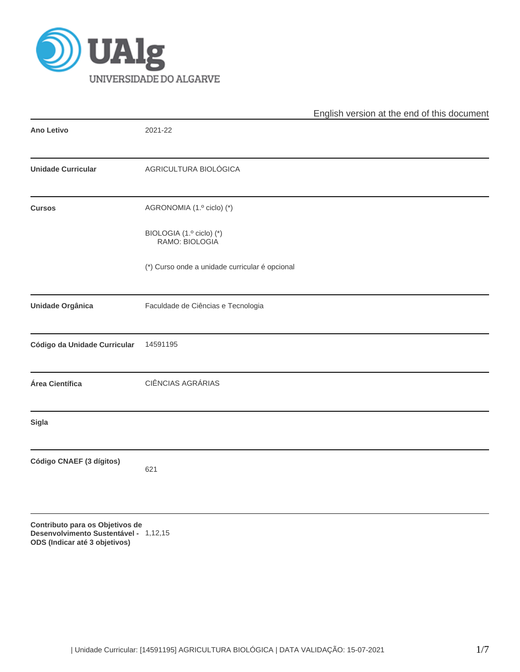

|                              |                                                | English version at the end of this document |
|------------------------------|------------------------------------------------|---------------------------------------------|
| Ano Letivo                   | 2021-22                                        |                                             |
| <b>Unidade Curricular</b>    | AGRICULTURA BIOLÓGICA                          |                                             |
| <b>Cursos</b>                | AGRONOMIA (1.º ciclo) (*)                      |                                             |
|                              | BIOLOGIA (1.º ciclo) (*)<br>RAMO: BIOLOGIA     |                                             |
|                              | (*) Curso onde a unidade curricular é opcional |                                             |
| <b>Unidade Orgânica</b>      | Faculdade de Ciências e Tecnologia             |                                             |
| Código da Unidade Curricular | 14591195                                       |                                             |
| Área Científica              | CIÊNCIAS AGRÁRIAS                              |                                             |
| Sigla                        |                                                |                                             |
| Código CNAEF (3 dígitos)     | 621                                            |                                             |
|                              |                                                |                                             |

**Contributo para os Objetivos de Desenvolvimento Sustentável - ODS (Indicar até 3 objetivos)** 1,12,15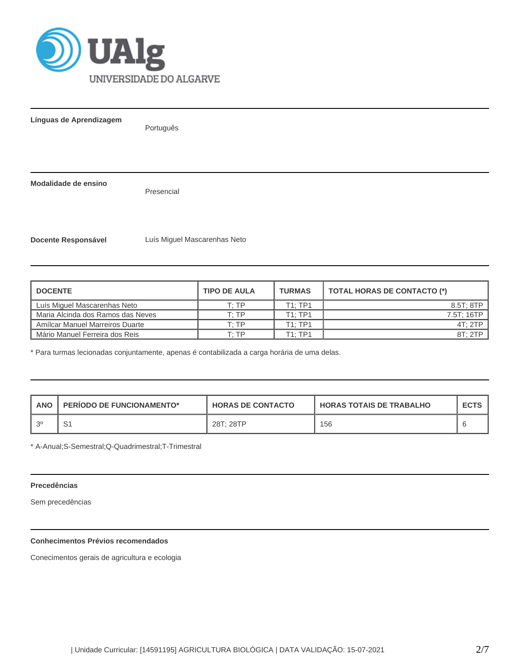

**Línguas de Aprendizagem**

Português

**Modalidade de ensino**

Presencial

**Docente Responsável** Luís Miguel Mascarenhas Neto

| <b>DOCENTE</b>                    | <b>TIPO DE AULA</b> | <b>TURMAS</b> | <b>TOTAL HORAS DE CONTACTO (*)</b> |
|-----------------------------------|---------------------|---------------|------------------------------------|
| Luís Miguel Mascarenhas Neto      | T: TP               | T1:TP1        | 8.5T: 8TP                          |
| Maria Alcinda dos Ramos das Neves | T: TP               | T1:TP1        | 7.5T: 16TP                         |
| Amílcar Manuel Marreiros Duarte   | T· TP               | T1:TP1        | 4T:2TP                             |
| Mário Manuel Ferreira dos Reis    | T: TP               | T1: TP1       | 8T:2TP                             |

\* Para turmas lecionadas conjuntamente, apenas é contabilizada a carga horária de uma delas.

| ANO | <b>PERIODO DE FUNCIONAMENTO*</b> | <b>HORAS DE CONTACTO</b> | <b>HORAS TOTAIS DE TRABALHO</b> | <b>ECTS</b> |
|-----|----------------------------------|--------------------------|---------------------------------|-------------|
|     | ◡                                | 28T: 28TP                | 156                             |             |

\* A-Anual;S-Semestral;Q-Quadrimestral;T-Trimestral

# **Precedências**

Sem precedências

# **Conhecimentos Prévios recomendados**

Conecimentos gerais de agricultura e ecologia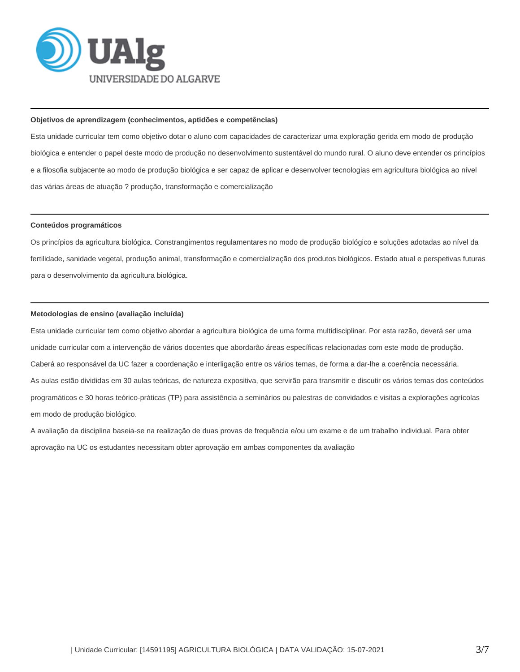

#### **Objetivos de aprendizagem (conhecimentos, aptidões e competências)**

Esta unidade curricular tem como objetivo dotar o aluno com capacidades de caracterizar uma exploração gerida em modo de produção biológica e entender o papel deste modo de produção no desenvolvimento sustentável do mundo rural. O aluno deve entender os princípios e a filosofia subjacente ao modo de produção biológica e ser capaz de aplicar e desenvolver tecnologias em agricultura biológica ao nível das várias áreas de atuação ? produção, transformação e comercialização

#### **Conteúdos programáticos**

Os princípios da agricultura biológica. Constrangimentos regulamentares no modo de produção biológico e soluções adotadas ao nível da fertilidade, sanidade vegetal, produção animal, transformação e comercialização dos produtos biológicos. Estado atual e perspetivas futuras para o desenvolvimento da agricultura biológica.

# **Metodologias de ensino (avaliação incluída)**

Esta unidade curricular tem como objetivo abordar a agricultura biológica de uma forma multidisciplinar. Por esta razão, deverá ser uma unidade curricular com a intervenção de vários docentes que abordarão áreas específicas relacionadas com este modo de produção. Caberá ao responsável da UC fazer a coordenação e interligação entre os vários temas, de forma a dar-lhe a coerência necessária. As aulas estão divididas em 30 aulas teóricas, de natureza expositiva, que servirão para transmitir e discutir os vários temas dos conteúdos programáticos e 30 horas teórico-práticas (TP) para assistência a seminários ou palestras de convidados e visitas a explorações agrícolas em modo de produção biológico.

A avaliação da disciplina baseia-se na realização de duas provas de frequência e/ou um exame e de um trabalho individual. Para obter aprovação na UC os estudantes necessitam obter aprovação em ambas componentes da avaliação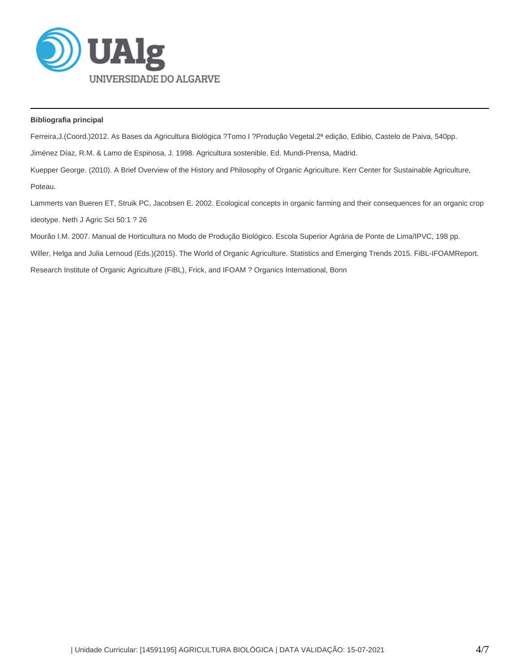

# **Bibliografia principal**

Ferreira,J.(Coord.)2012. As Bases da Agricultura Biológica ?Tomo I ?Produção Vegetal.2ª edição, Edibio, Castelo de Paiva, 540pp.

Jiménez Díaz, R.M. & Lamo de Espinosa, J. 1998. Agricultura sostenible. Ed. Mundi-Prensa, Madrid.

Kuepper George. (2010). A Brief Overview of the History and Philosophy of Organic Agriculture. Kerr Center for Sustainable Agriculture, Poteau.

Lammerts van Bueren ET, Struik PC, Jacobsen E. 2002. Ecological concepts in organic farming and their consequences for an organic crop ideotype. Neth J Agric Sci 50:1 ? 26

Mourão I.M. 2007. Manual de Horticultura no Modo de Produção Biológico. Escola Superior Agrária de Ponte de Lima/IPVC, 198 pp.

Willer, Helga and Julia Lernoud (Eds.)(2015). The World of Organic Agriculture. Statistics and Emerging Trends 2015. FiBL-IFOAMReport.

Research Institute of Organic Agriculture (FiBL), Frick, and IFOAM ? Organics International, Bonn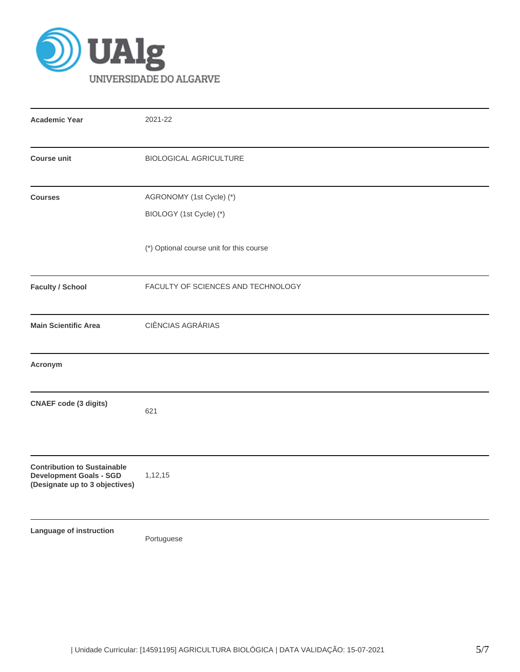

| <b>Academic Year</b>                                                                                   | 2021-22                                             |  |  |  |  |  |  |
|--------------------------------------------------------------------------------------------------------|-----------------------------------------------------|--|--|--|--|--|--|
| <b>Course unit</b>                                                                                     | <b>BIOLOGICAL AGRICULTURE</b>                       |  |  |  |  |  |  |
| <b>Courses</b>                                                                                         | AGRONOMY (1st Cycle) (*)<br>BIOLOGY (1st Cycle) (*) |  |  |  |  |  |  |
|                                                                                                        | (*) Optional course unit for this course            |  |  |  |  |  |  |
| <b>Faculty / School</b>                                                                                | FACULTY OF SCIENCES AND TECHNOLOGY                  |  |  |  |  |  |  |
| <b>Main Scientific Area</b>                                                                            | CIÊNCIAS AGRÁRIAS                                   |  |  |  |  |  |  |
| Acronym                                                                                                |                                                     |  |  |  |  |  |  |
| <b>CNAEF code (3 digits)</b>                                                                           | 621                                                 |  |  |  |  |  |  |
| <b>Contribution to Sustainable</b><br><b>Development Goals - SGD</b><br>(Designate up to 3 objectives) | 1,12,15                                             |  |  |  |  |  |  |
| Language of instruction                                                                                | Portuguese                                          |  |  |  |  |  |  |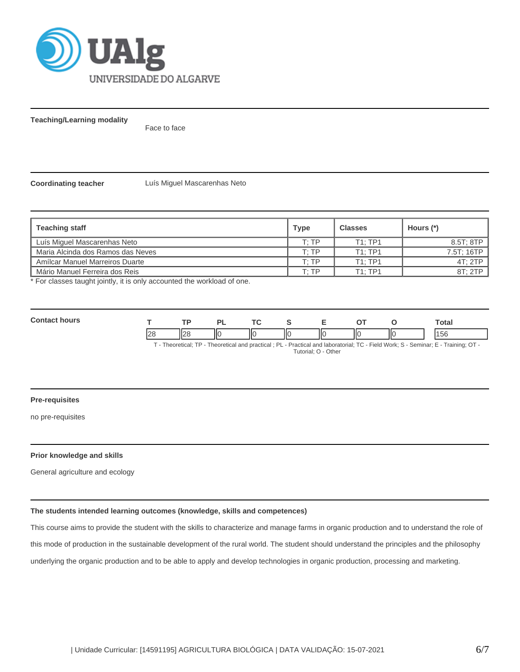

**Teaching/Learning modality**

Face to face

**Coordinating teacher** Luís Miguel Mascarenhas Neto

| <b>Teaching staff</b>             | <b>Type</b> | <b>Classes</b> | Hours (*)  |
|-----------------------------------|-------------|----------------|------------|
| Luís Miguel Mascarenhas Neto      | T· TP       | T1:TP1         | 8.5T; 8TP  |
| Maria Alcinda dos Ramos das Neves | T: TP       | T1:TP1         | 7.5T; 16TP |
| Amílcar Manuel Marreiros Duarte   | T· TP       | T1: TP1        | 4T: 2TP    |
| Mário Manuel Ferreira dos Reis    | ⊤∙ тр       | T1: TP1        | 8T: 2TP    |

\* For classes taught jointly, it is only accounted the workload of one.

| Conta<br>hours                                        |  |  |    | ÷        |  |   |    |    | ່ວຢຕ<br>υιαι |
|-------------------------------------------------------|--|--|----|----------|--|---|----|----|--------------|
|                                                       |  |  | IЮ | Ш<br>ll( |  | Ш | IЮ | II |              |
| TT CAPT CAPT CAPT CAPTER CAPTAIN CAPTAIN CONTRACT COM |  |  |    |          |  |   |    |    |              |

T - Theoretical; TP - Theoretical and practical ; PL - Practical and laboratorial; TC - Field Work; S - Seminar; E - Training; OT - Tutorial; O - Other

#### **Pre-requisites**

no pre-requisites

## **Prior knowledge and skills**

General agriculture and ecology

## **The students intended learning outcomes (knowledge, skills and competences)**

This course aims to provide the student with the skills to characterize and manage farms in organic production and to understand the role of this mode of production in the sustainable development of the rural world. The student should understand the principles and the philosophy underlying the organic production and to be able to apply and develop technologies in organic production, processing and marketing.